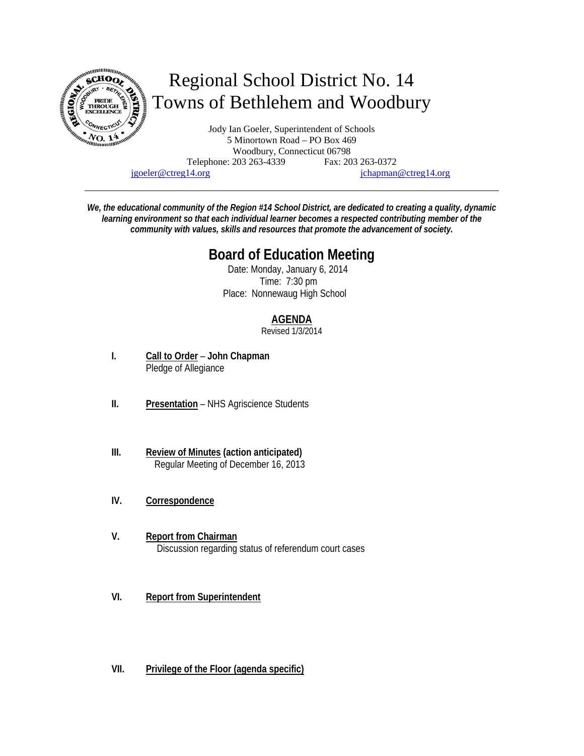

jgoeler@ctreg14.org jchapman@ctreg14.org

*We, the educational community of the Region #14 School District, are dedicated to creating a quality, dynamic learning environment so that each individual learner becomes a respected contributing member of the community with values, skills and resources that promote the advancement of society.* 

# **Board of Education Meeting**

 Date: Monday, January 6, 2014 Time: 7:30 pm Place: Nonnewaug High School

# **AGENDA**

Revised 1/3/2014

- **I. Call to Order John Chapman** Pledge of Allegiance
- **II. Presentation** NHS Agriscience Students
- **III. Review of Minutes (action anticipated)** Regular Meeting of December 16, 2013
- **IV. Correspondence**
- **V. Report from Chairman**  Discussion regarding status of referendum court cases
- **VI. Report from Superintendent**
- **VII. Privilege of the Floor (agenda specific)**